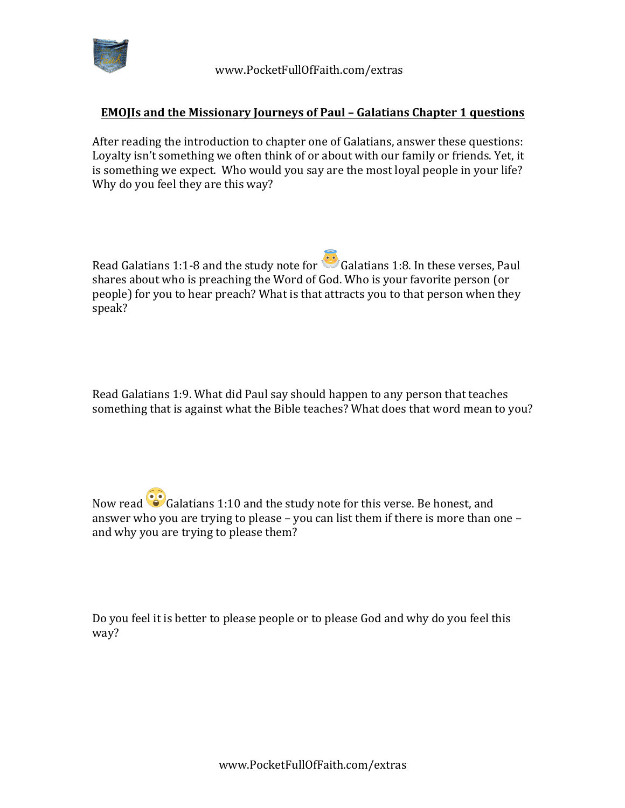

## **EMOJIs and the Missionary Journeys of Paul - Galatians Chapter 1 questions**

After reading the introduction to chapter one of Galatians, answer these questions: Loyalty isn't something we often think of or about with our family or friends. Yet, it is something we expect. Who would you say are the most loyal people in your life? Why do you feel they are this way?

Read Galatians 1:1-8 and the study note for  $\ddot{\bullet}$  Galatians 1:8. In these verses, Paul shares about who is preaching the Word of God. Who is your favorite person (or people) for you to hear preach? What is that attracts you to that person when they speak?

Read Galatians 1:9. What did Paul say should happen to any person that teaches something that is against what the Bible teaches? What does that word mean to you?

Now read  $\odot$  Galatians 1:10 and the study note for this verse. Be honest, and answer who you are trying to please – you can list them if there is more than one – and why you are trying to please them?

Do you feel it is better to please people or to please God and why do you feel this way?